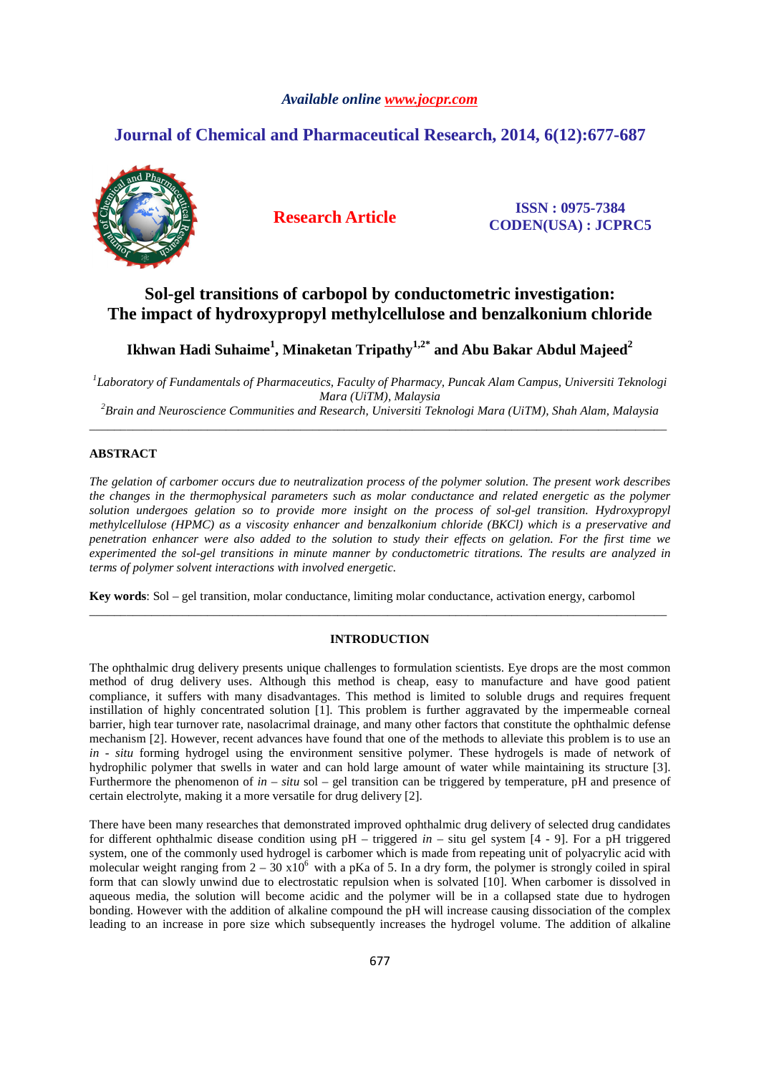# *Available online www.jocpr.com*

# **Journal of Chemical and Pharmaceutical Research, 2014, 6(12):677-687**



**Research Article ISSN : 0975-7384 CODEN(USA) : JCPRC5**

# **Sol-gel transitions of carbopol by conductometric investigation: The impact of hydroxypropyl methylcellulose and benzalkonium chloride**

**Ikhwan Hadi Suhaime<sup>1</sup> , Minaketan Tripathy1,2\* and Abu Bakar Abdul Majeed<sup>2</sup>**

*1 Laboratory of Fundamentals of Pharmaceutics, Faculty of Pharmacy, Puncak Alam Campus, Universiti Teknologi Mara (UiTM), Malaysia <sup>2</sup>Brain and Neuroscience Communities and Research, Universiti Teknologi Mara (UiTM), Shah Alam, Malaysia*

\_\_\_\_\_\_\_\_\_\_\_\_\_\_\_\_\_\_\_\_\_\_\_\_\_\_\_\_\_\_\_\_\_\_\_\_\_\_\_\_\_\_\_\_\_\_\_\_\_\_\_\_\_\_\_\_\_\_\_\_\_\_\_\_\_\_\_\_\_\_\_\_\_\_\_\_\_\_\_\_\_\_\_\_\_\_\_\_\_\_\_\_\_

# **ABSTRACT**

*The gelation of carbomer occurs due to neutralization process of the polymer solution. The present work describes the changes in the thermophysical parameters such as molar conductance and related energetic as the polymer solution undergoes gelation so to provide more insight on the process of sol-gel transition. Hydroxypropyl methylcellulose (HPMC) as a viscosity enhancer and benzalkonium chloride (BKCl) which is a preservative and penetration enhancer were also added to the solution to study their effects on gelation. For the first time we experimented the sol-gel transitions in minute manner by conductometric titrations. The results are analyzed in terms of polymer solvent interactions with involved energetic.* 

**Key words**: Sol – gel transition, molar conductance, limiting molar conductance, activation energy, carbomol

### **INTRODUCTION**

\_\_\_\_\_\_\_\_\_\_\_\_\_\_\_\_\_\_\_\_\_\_\_\_\_\_\_\_\_\_\_\_\_\_\_\_\_\_\_\_\_\_\_\_\_\_\_\_\_\_\_\_\_\_\_\_\_\_\_\_\_\_\_\_\_\_\_\_\_\_\_\_\_\_\_\_\_\_\_\_\_\_\_\_\_\_\_\_\_\_\_\_\_

The ophthalmic drug delivery presents unique challenges to formulation scientists. Eye drops are the most common method of drug delivery uses. Although this method is cheap, easy to manufacture and have good patient compliance, it suffers with many disadvantages. This method is limited to soluble drugs and requires frequent instillation of highly concentrated solution [1]. This problem is further aggravated by the impermeable corneal barrier, high tear turnover rate, nasolacrimal drainage, and many other factors that constitute the ophthalmic defense mechanism [2]. However, recent advances have found that one of the methods to alleviate this problem is to use an *in - situ* forming hydrogel using the environment sensitive polymer. These hydrogels is made of network of hydrophilic polymer that swells in water and can hold large amount of water while maintaining its structure [3]. Furthermore the phenomenon of *in – situ* sol – gel transition can be triggered by temperature, pH and presence of certain electrolyte, making it a more versatile for drug delivery [2].

There have been many researches that demonstrated improved ophthalmic drug delivery of selected drug candidates for different ophthalmic disease condition using pH – triggered *in –* situ gel system [4 - 9]. For a pH triggered system, one of the commonly used hydrogel is carbomer which is made from repeating unit of polyacrylic acid with molecular weight ranging from  $2 - 30 \times 10^6$  with a pKa of 5. In a dry form, the polymer is strongly coiled in spiral form that can slowly unwind due to electrostatic repulsion when is solvated [10]. When carbomer is dissolved in aqueous media, the solution will become acidic and the polymer will be in a collapsed state due to hydrogen bonding. However with the addition of alkaline compound the pH will increase causing dissociation of the complex leading to an increase in pore size which subsequently increases the hydrogel volume. The addition of alkaline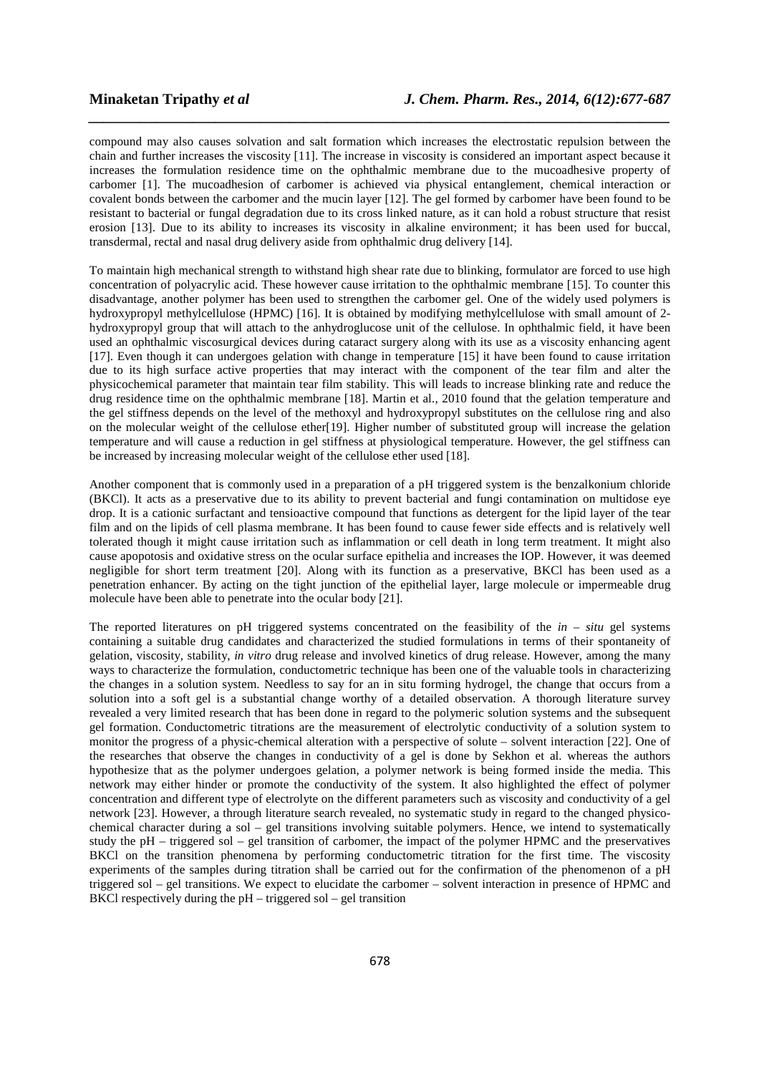compound may also causes solvation and salt formation which increases the electrostatic repulsion between the chain and further increases the viscosity [11]. The increase in viscosity is considered an important aspect because it increases the formulation residence time on the ophthalmic membrane due to the mucoadhesive property of carbomer [1]. The mucoadhesion of carbomer is achieved via physical entanglement, chemical interaction or covalent bonds between the carbomer and the mucin layer [12]. The gel formed by carbomer have been found to be resistant to bacterial or fungal degradation due to its cross linked nature, as it can hold a robust structure that resist erosion [13]. Due to its ability to increases its viscosity in alkaline environment; it has been used for buccal, transdermal, rectal and nasal drug delivery aside from ophthalmic drug delivery [14].

*\_\_\_\_\_\_\_\_\_\_\_\_\_\_\_\_\_\_\_\_\_\_\_\_\_\_\_\_\_\_\_\_\_\_\_\_\_\_\_\_\_\_\_\_\_\_\_\_\_\_\_\_\_\_\_\_\_\_\_\_\_\_\_\_\_\_\_\_\_\_\_\_\_\_\_\_\_\_*

To maintain high mechanical strength to withstand high shear rate due to blinking, formulator are forced to use high concentration of polyacrylic acid. These however cause irritation to the ophthalmic membrane [15]. To counter this disadvantage, another polymer has been used to strengthen the carbomer gel. One of the widely used polymers is hydroxypropyl methylcellulose (HPMC) [16]. It is obtained by modifying methylcellulose with small amount of 2 hydroxypropyl group that will attach to the anhydroglucose unit of the cellulose. In ophthalmic field, it have been used an ophthalmic viscosurgical devices during cataract surgery along with its use as a viscosity enhancing agent [17]. Even though it can undergoes gelation with change in temperature [15] it have been found to cause irritation due to its high surface active properties that may interact with the component of the tear film and alter the physicochemical parameter that maintain tear film stability. This will leads to increase blinking rate and reduce the drug residence time on the ophthalmic membrane [18]. Martin et al*.,* 2010 found that the gelation temperature and the gel stiffness depends on the level of the methoxyl and hydroxypropyl substitutes on the cellulose ring and also on the molecular weight of the cellulose ether[19]. Higher number of substituted group will increase the gelation temperature and will cause a reduction in gel stiffness at physiological temperature. However, the gel stiffness can be increased by increasing molecular weight of the cellulose ether used [18].

Another component that is commonly used in a preparation of a pH triggered system is the benzalkonium chloride (BKCl). It acts as a preservative due to its ability to prevent bacterial and fungi contamination on multidose eye drop. It is a cationic surfactant and tensioactive compound that functions as detergent for the lipid layer of the tear film and on the lipids of cell plasma membrane. It has been found to cause fewer side effects and is relatively well tolerated though it might cause irritation such as inflammation or cell death in long term treatment. It might also cause apopotosis and oxidative stress on the ocular surface epithelia and increases the IOP. However, it was deemed negligible for short term treatment [20]. Along with its function as a preservative, BKCl has been used as a penetration enhancer. By acting on the tight junction of the epithelial layer, large molecule or impermeable drug molecule have been able to penetrate into the ocular body [21].

The reported literatures on pH triggered systems concentrated on the feasibility of the *in – situ* gel systems containing a suitable drug candidates and characterized the studied formulations in terms of their spontaneity of gelation, viscosity, stability, *in vitro* drug release and involved kinetics of drug release. However, among the many ways to characterize the formulation, conductometric technique has been one of the valuable tools in characterizing the changes in a solution system. Needless to say for an in situ forming hydrogel, the change that occurs from a solution into a soft gel is a substantial change worthy of a detailed observation. A thorough literature survey revealed a very limited research that has been done in regard to the polymeric solution systems and the subsequent gel formation. Conductometric titrations are the measurement of electrolytic conductivity of a solution system to monitor the progress of a physic-chemical alteration with a perspective of solute – solvent interaction [22]. One of the researches that observe the changes in conductivity of a gel is done by Sekhon et al. whereas the authors hypothesize that as the polymer undergoes gelation, a polymer network is being formed inside the media. This network may either hinder or promote the conductivity of the system. It also highlighted the effect of polymer concentration and different type of electrolyte on the different parameters such as viscosity and conductivity of a gel network [23]. However, a through literature search revealed, no systematic study in regard to the changed physicochemical character during a sol – gel transitions involving suitable polymers. Hence, we intend to systematically study the pH – triggered sol – gel transition of carbomer, the impact of the polymer HPMC and the preservatives BKCl on the transition phenomena by performing conductometric titration for the first time. The viscosity experiments of the samples during titration shall be carried out for the confirmation of the phenomenon of a pH triggered sol – gel transitions. We expect to elucidate the carbomer – solvent interaction in presence of HPMC and BKCl respectively during the  $pH -$  triggered sol – gel transition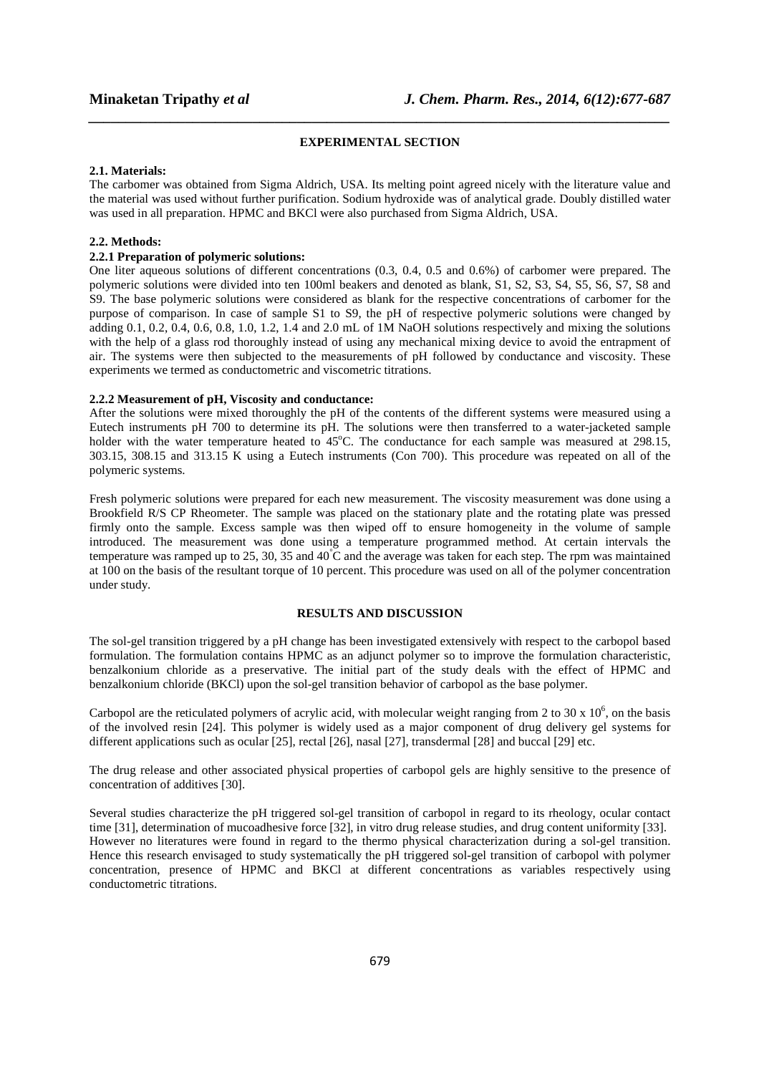# *\_\_\_\_\_\_\_\_\_\_\_\_\_\_\_\_\_\_\_\_\_\_\_\_\_\_\_\_\_\_\_\_\_\_\_\_\_\_\_\_\_\_\_\_\_\_\_\_\_\_\_\_\_\_\_\_\_\_\_\_\_\_\_\_\_\_\_\_\_\_\_\_\_\_\_\_\_\_* **EXPERIMENTAL SECTION**

#### **2.1. Materials:**

The carbomer was obtained from Sigma Aldrich, USA. Its melting point agreed nicely with the literature value and the material was used without further purification. Sodium hydroxide was of analytical grade. Doubly distilled water was used in all preparation. HPMC and BKCl were also purchased from Sigma Aldrich, USA.

# **2.2. Methods:**

# **2.2.1 Preparation of polymeric solutions:**

One liter aqueous solutions of different concentrations (0.3, 0.4, 0.5 and 0.6%) of carbomer were prepared. The polymeric solutions were divided into ten 100ml beakers and denoted as blank, S1, S2, S3, S4, S5, S6, S7, S8 and S9. The base polymeric solutions were considered as blank for the respective concentrations of carbomer for the purpose of comparison. In case of sample S1 to S9, the pH of respective polymeric solutions were changed by adding  $0.1, 0.2, 0.4, 0.6, 0.8, 1.0, 1.2, 1.4$  and  $2.0$  mL of  $1\overline{M}$  NaOH solutions respectively and mixing the solutions with the help of a glass rod thoroughly instead of using any mechanical mixing device to avoid the entrapment of air. The systems were then subjected to the measurements of pH followed by conductance and viscosity. These experiments we termed as conductometric and viscometric titrations.

# **2.2.2 Measurement of pH, Viscosity and conductance:**

After the solutions were mixed thoroughly the pH of the contents of the different systems were measured using a Eutech instruments pH 700 to determine its pH. The solutions were then transferred to a water-jacketed sample holder with the water temperature heated to  $45^{\circ}$ C. The conductance for each sample was measured at  $298.15$ , 303.15, 308.15 and 313.15 K using a Eutech instruments (Con 700). This procedure was repeated on all of the polymeric systems.

Fresh polymeric solutions were prepared for each new measurement. The viscosity measurement was done using a Brookfield R/S CP Rheometer. The sample was placed on the stationary plate and the rotating plate was pressed firmly onto the sample. Excess sample was then wiped off to ensure homogeneity in the volume of sample introduced. The measurement was done using a temperature programmed method. At certain intervals the temperature was ramped up to 25, 30, 35 and 40°C and the average was taken for each step. The rpm was maintained at 100 on the basis of the resultant torque of 10 percent. This procedure was used on all of the polymer concentration under study.

# **RESULTS AND DISCUSSION**

The sol-gel transition triggered by a pH change has been investigated extensively with respect to the carbopol based formulation. The formulation contains HPMC as an adjunct polymer so to improve the formulation characteristic, benzalkonium chloride as a preservative. The initial part of the study deals with the effect of HPMC and benzalkonium chloride (BKCl) upon the sol-gel transition behavior of carbopol as the base polymer.

Carbopol are the reticulated polymers of acrylic acid, with molecular weight ranging from 2 to 30 x  $10^6$ , on the basis of the involved resin [24]. This polymer is widely used as a major component of drug delivery gel systems for different applications such as ocular [25], rectal [26], nasal [27], transdermal [28] and buccal [29] etc.

The drug release and other associated physical properties of carbopol gels are highly sensitive to the presence of concentration of additives [30].

Several studies characterize the pH triggered sol-gel transition of carbopol in regard to its rheology, ocular contact time [31], determination of mucoadhesive force [32], in vitro drug release studies, and drug content uniformity [33]. However no literatures were found in regard to the thermo physical characterization during a sol-gel transition. Hence this research envisaged to study systematically the pH triggered sol-gel transition of carbopol with polymer concentration, presence of HPMC and BKCl at different concentrations as variables respectively using conductometric titrations.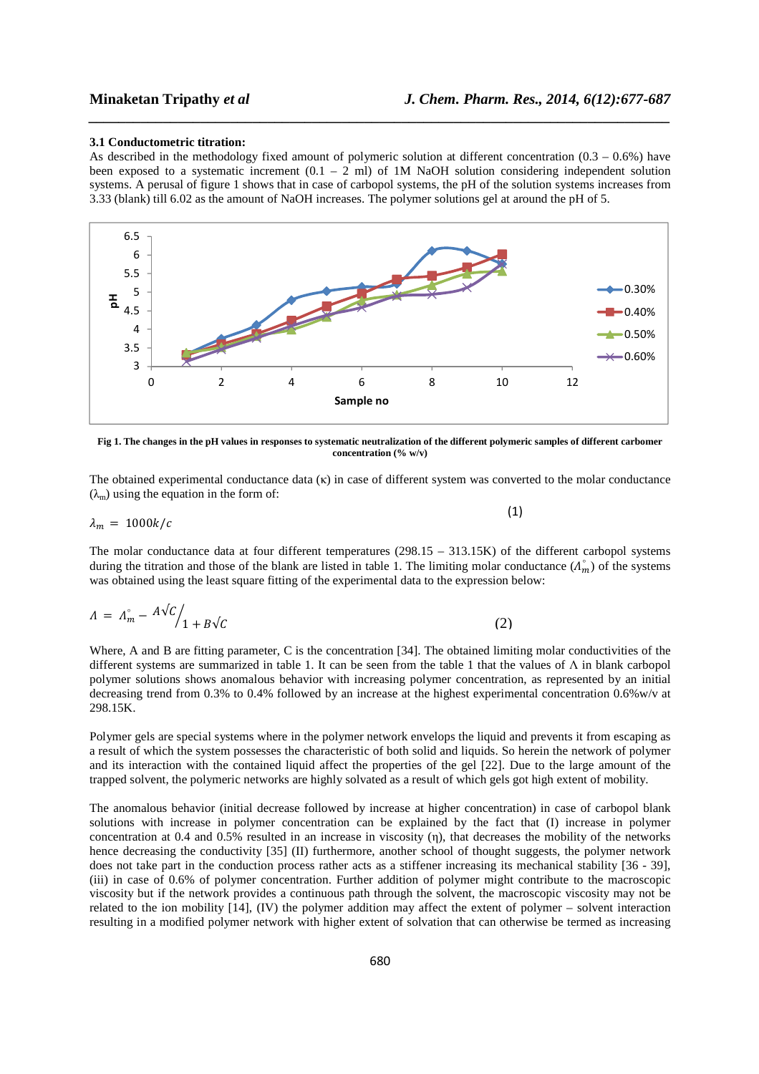#### **3.1 Conductometric titration:**

As described in the methodology fixed amount of polymeric solution at different concentration  $(0.3 - 0.6%)$  have been exposed to a systematic increment  $(0.1 - 2 \text{ ml})$  of 1M NaOH solution considering independent solution systems. A perusal of figure 1 shows that in case of carbopol systems, the pH of the solution systems increases from 3.33 (blank) till 6.02 as the amount of NaOH increases. The polymer solutions gel at around the pH of 5.

*\_\_\_\_\_\_\_\_\_\_\_\_\_\_\_\_\_\_\_\_\_\_\_\_\_\_\_\_\_\_\_\_\_\_\_\_\_\_\_\_\_\_\_\_\_\_\_\_\_\_\_\_\_\_\_\_\_\_\_\_\_\_\_\_\_\_\_\_\_\_\_\_\_\_\_\_\_\_*



**Fig 1. The changes in the pH values in responses to systematic neutralization of the different polymeric samples of different carbomer concentration (% w/v)** 

The obtained experimental conductance data (κ) in case of different system was converted to the molar conductance  $(\lambda_m)$  using the equation in the form of:

$$
\lambda_m = 1000k/c \tag{1}
$$

The molar conductance data at four different temperatures (298.15 – 313.15K) of the different carbopol systems during the titration and those of the blank are listed in table 1. The limiting molar conductance  $(\Lambda_m^{\circ})$ *°* ) of the systems was obtained using the least square fitting of the experimental data to the expression below:

$$
\Lambda = \Lambda_m^{\circ} - \frac{A\sqrt{C}}{1 + B\sqrt{C}} \tag{2}
$$

Where, A and B are fitting parameter, C is the concentration [34]. The obtained limiting molar conductivities of the different systems are summarized in table 1. It can be seen from the table 1 that the values of Λ in blank carbopol polymer solutions shows anomalous behavior with increasing polymer concentration, as represented by an initial decreasing trend from 0.3% to 0.4% followed by an increase at the highest experimental concentration 0.6%w/v at 298.15K.

Polymer gels are special systems where in the polymer network envelops the liquid and prevents it from escaping as a result of which the system possesses the characteristic of both solid and liquids. So herein the network of polymer and its interaction with the contained liquid affect the properties of the gel [22]. Due to the large amount of the trapped solvent, the polymeric networks are highly solvated as a result of which gels got high extent of mobility.

The anomalous behavior (initial decrease followed by increase at higher concentration) in case of carbopol blank solutions with increase in polymer concentration can be explained by the fact that (I) increase in polymer concentration at 0.4 and 0.5% resulted in an increase in viscosity (η), that decreases the mobility of the networks hence decreasing the conductivity [35] (II) furthermore, another school of thought suggests, the polymer network does not take part in the conduction process rather acts as a stiffener increasing its mechanical stability [36 - 39], (iii) in case of 0.6% of polymer concentration. Further addition of polymer might contribute to the macroscopic viscosity but if the network provides a continuous path through the solvent, the macroscopic viscosity may not be related to the ion mobility [14], (IV) the polymer addition may affect the extent of polymer – solvent interaction resulting in a modified polymer network with higher extent of solvation that can otherwise be termed as increasing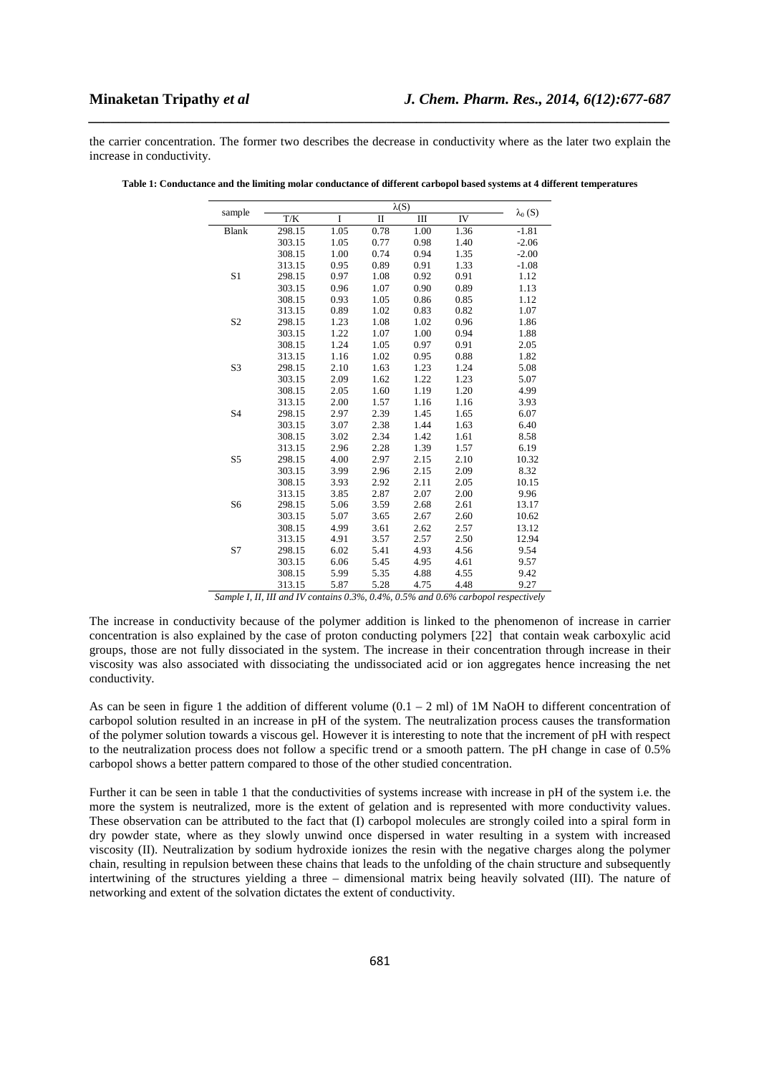the carrier concentration. The former two describes the decrease in conductivity where as the later two explain the increase in conductivity.

*\_\_\_\_\_\_\_\_\_\_\_\_\_\_\_\_\_\_\_\_\_\_\_\_\_\_\_\_\_\_\_\_\_\_\_\_\_\_\_\_\_\_\_\_\_\_\_\_\_\_\_\_\_\_\_\_\_\_\_\_\_\_\_\_\_\_\_\_\_\_\_\_\_\_\_\_\_\_*

|                | $\lambda(S)$ |      |              |      |      |                |
|----------------|--------------|------|--------------|------|------|----------------|
| sample         | T/K          | I    | $\mathbf{I}$ | III  | IV   | $\lambda_0(S)$ |
| <b>Blank</b>   | 298.15       | 1.05 | 0.78         | 1.00 | 1.36 | $-1.81$        |
|                | 303.15       | 1.05 | 0.77         | 0.98 | 1.40 | $-2.06$        |
|                | 308.15       | 1.00 | 0.74         | 0.94 | 1.35 | $-2.00$        |
|                | 313.15       | 0.95 | 0.89         | 0.91 | 1.33 | $-1.08$        |
| S <sub>1</sub> | 298.15       | 0.97 | 1.08         | 0.92 | 0.91 | 1.12           |
|                | 303.15       | 0.96 | 1.07         | 0.90 | 0.89 | 1.13           |
|                | 308.15       | 0.93 | 1.05         | 0.86 | 0.85 | 1.12           |
|                | 313.15       | 0.89 | 1.02         | 0.83 | 0.82 | 1.07           |
| S <sub>2</sub> | 298.15       | 1.23 | 1.08         | 1.02 | 0.96 | 1.86           |
|                | 303.15       | 1.22 | 1.07         | 1.00 | 0.94 | 1.88           |
|                | 308.15       | 1.24 | 1.05         | 0.97 | 0.91 | 2.05           |
|                | 313.15       | 1.16 | 1.02         | 0.95 | 0.88 | 1.82           |
| S <sub>3</sub> | 298.15       | 2.10 | 1.63         | 1.23 | 1.24 | 5.08           |
|                | 303.15       | 2.09 | 1.62         | 1.22 | 1.23 | 5.07           |
|                | 308.15       | 2.05 | 1.60         | 1.19 | 1.20 | 4.99           |
|                | 313.15       | 2.00 | 1.57         | 1.16 | 1.16 | 3.93           |
| <b>S4</b>      | 298.15       | 2.97 | 2.39         | 1.45 | 1.65 | 6.07           |
|                | 303.15       | 3.07 | 2.38         | 1.44 | 1.63 | 6.40           |
|                | 308.15       | 3.02 | 2.34         | 1.42 | 1.61 | 8.58           |
|                | 313.15       | 2.96 | 2.28         | 1.39 | 1.57 | 6.19           |
| S <sub>5</sub> | 298.15       | 4.00 | 2.97         | 2.15 | 2.10 | 10.32          |
|                | 303.15       | 3.99 | 2.96         | 2.15 | 2.09 | 8.32           |
|                | 308.15       | 3.93 | 2.92         | 2.11 | 2.05 | 10.15          |
|                | 313.15       | 3.85 | 2.87         | 2.07 | 2.00 | 9.96           |
| S <sub>6</sub> | 298.15       | 5.06 | 3.59         | 2.68 | 2.61 | 13.17          |
|                | 303.15       | 5.07 | 3.65         | 2.67 | 2.60 | 10.62          |
|                | 308.15       | 4.99 | 3.61         | 2.62 | 2.57 | 13.12          |
|                | 313.15       | 4.91 | 3.57         | 2.57 | 2.50 | 12.94          |
| S7             | 298.15       | 6.02 | 5.41         | 4.93 | 4.56 | 9.54           |
|                | 303.15       | 6.06 | 5.45         | 4.95 | 4.61 | 9.57           |
|                | 308.15       | 5.99 | 5.35         | 4.88 | 4.55 | 9.42           |
|                | 313.15       | 5.87 | 5.28         | 4.75 | 4.48 | 9.27           |

**Table 1: Conductance and the limiting molar conductance of different carbopol based systems at 4 different temperatures** 

*Sample I, II, III and IV contains 0.3%, 0.4%, 0.5% and 0.6% carbopol respectively* 

The increase in conductivity because of the polymer addition is linked to the phenomenon of increase in carrier concentration is also explained by the case of proton conducting polymers [22] that contain weak carboxylic acid groups, those are not fully dissociated in the system. The increase in their concentration through increase in their viscosity was also associated with dissociating the undissociated acid or ion aggregates hence increasing the net conductivity.

As can be seen in figure 1 the addition of different volume  $(0.1 - 2 \text{ ml})$  of 1M NaOH to different concentration of carbopol solution resulted in an increase in pH of the system. The neutralization process causes the transformation of the polymer solution towards a viscous gel. However it is interesting to note that the increment of pH with respect to the neutralization process does not follow a specific trend or a smooth pattern. The pH change in case of 0.5% carbopol shows a better pattern compared to those of the other studied concentration.

Further it can be seen in table 1 that the conductivities of systems increase with increase in pH of the system i.e. the more the system is neutralized, more is the extent of gelation and is represented with more conductivity values. These observation can be attributed to the fact that (I) carbopol molecules are strongly coiled into a spiral form in dry powder state, where as they slowly unwind once dispersed in water resulting in a system with increased viscosity (II). Neutralization by sodium hydroxide ionizes the resin with the negative charges along the polymer chain, resulting in repulsion between these chains that leads to the unfolding of the chain structure and subsequently intertwining of the structures yielding a three – dimensional matrix being heavily solvated (III). The nature of networking and extent of the solvation dictates the extent of conductivity.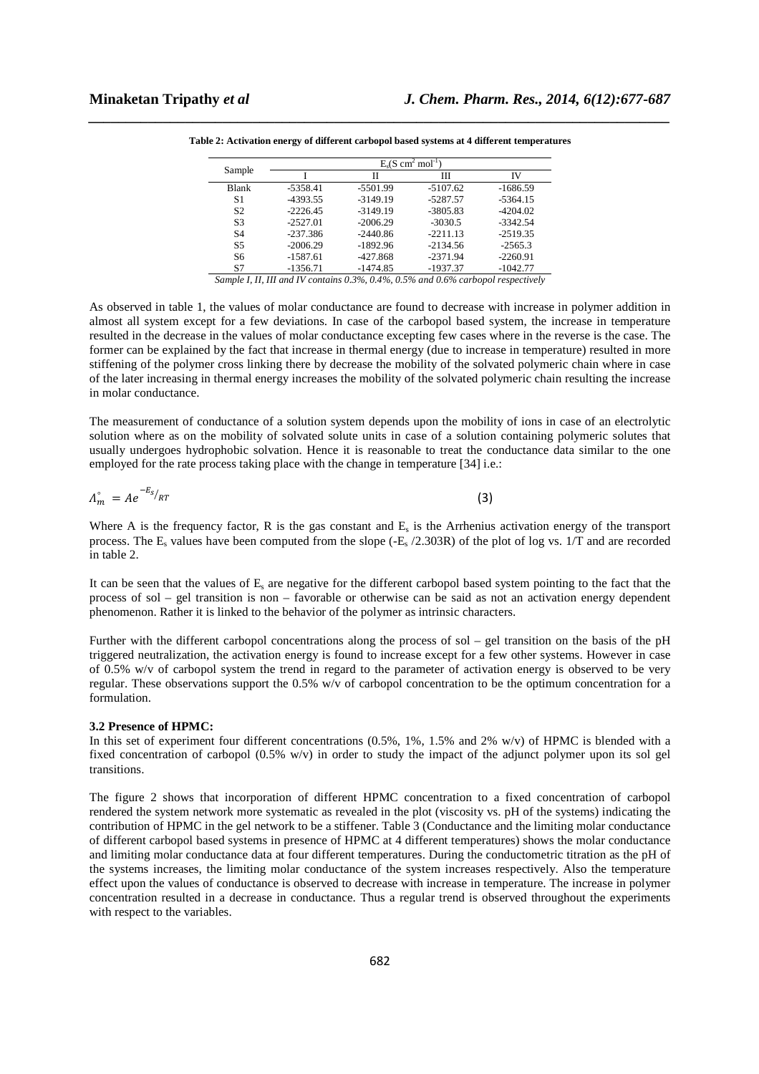| Sample         | $E_s(S \text{ cm}^2 \text{ mol}^{-1})$ |            |            |            |  |  |  |
|----------------|----------------------------------------|------------|------------|------------|--|--|--|
|                |                                        | Н          | Ш          | IV         |  |  |  |
| <b>Blank</b>   | $-5358.41$                             | -5501.99   | $-5107.62$ | $-1686.59$ |  |  |  |
| S1             | -4393.55                               | $-3149.19$ | $-5287.57$ | $-5364.15$ |  |  |  |
| S <sub>2</sub> | $-2226.45$                             | $-3149.19$ | $-3805.83$ | $-4204.02$ |  |  |  |
| S <sub>3</sub> | $-2527.01$                             | $-2006.29$ | $-3030.5$  | $-3342.54$ |  |  |  |
| <b>S4</b>      | $-237.386$                             | $-2440.86$ | $-2211.13$ | $-2519.35$ |  |  |  |
| S <sub>5</sub> | $-2006.29$                             | $-1892.96$ | $-2134.56$ | $-2565.3$  |  |  |  |
| S6             | $-1587.61$                             | $-427.868$ | $-2371.94$ | $-2260.91$ |  |  |  |
| S7             | $-1356.71$                             | $-1474.85$ | $-1937.37$ | $-1042.77$ |  |  |  |

*\_\_\_\_\_\_\_\_\_\_\_\_\_\_\_\_\_\_\_\_\_\_\_\_\_\_\_\_\_\_\_\_\_\_\_\_\_\_\_\_\_\_\_\_\_\_\_\_\_\_\_\_\_\_\_\_\_\_\_\_\_\_\_\_\_\_\_\_\_\_\_\_\_\_\_\_\_\_* **Table 2: Activation energy of different carbopol based systems at 4 different temperatures** 

*Sample I, II, III and IV contains 0.3%, 0.4%, 0.5% and 0.6% carbopol respectively* 

As observed in table 1, the values of molar conductance are found to decrease with increase in polymer addition in almost all system except for a few deviations. In case of the carbopol based system, the increase in temperature resulted in the decrease in the values of molar conductance excepting few cases where in the reverse is the case. The former can be explained by the fact that increase in thermal energy (due to increase in temperature) resulted in more stiffening of the polymer cross linking there by decrease the mobility of the solvated polymeric chain where in case of the later increasing in thermal energy increases the mobility of the solvated polymeric chain resulting the increase in molar conductance.

The measurement of conductance of a solution system depends upon the mobility of ions in case of an electrolytic solution where as on the mobility of solvated solute units in case of a solution containing polymeric solutes that usually undergoes hydrophobic solvation. Hence it is reasonable to treat the conductance data similar to the one employed for the rate process taking place with the change in temperature [34] i.e.:

$$
\Lambda_{m}^{\circ} = A e^{-E_{S}}/RT
$$

Where A is the frequency factor, R is the gas constant and  $E_s$  is the Arrhenius activation energy of the transport process. The  $E_s$  values have been computed from the slope  $(-E_s/2.303R)$  of the plot of log vs. 1/T and are recorded in table 2.

(3)

It can be seen that the values of E<sub>s</sub> are negative for the different carbopol based system pointing to the fact that the process of sol – gel transition is non – favorable or otherwise can be said as not an activation energy dependent phenomenon. Rather it is linked to the behavior of the polymer as intrinsic characters.

Further with the different carbopol concentrations along the process of sol – gel transition on the basis of the pH triggered neutralization, the activation energy is found to increase except for a few other systems. However in case of 0.5% w/v of carbopol system the trend in regard to the parameter of activation energy is observed to be very regular. These observations support the 0.5% w/v of carbopol concentration to be the optimum concentration for a formulation.

### **3.2 Presence of HPMC:**

In this set of experiment four different concentrations (0.5%, 1%, 1.5% and 2% w/v) of HPMC is blended with a fixed concentration of carbopol (0.5% w/v) in order to study the impact of the adjunct polymer upon its sol gel transitions.

The figure 2 shows that incorporation of different HPMC concentration to a fixed concentration of carbopol rendered the system network more systematic as revealed in the plot (viscosity vs. pH of the systems) indicating the contribution of HPMC in the gel network to be a stiffener. Table 3 (Conductance and the limiting molar conductance of different carbopol based systems in presence of HPMC at 4 different temperatures) shows the molar conductance and limiting molar conductance data at four different temperatures. During the conductometric titration as the pH of the systems increases, the limiting molar conductance of the system increases respectively. Also the temperature effect upon the values of conductance is observed to decrease with increase in temperature. The increase in polymer concentration resulted in a decrease in conductance. Thus a regular trend is observed throughout the experiments with respect to the variables.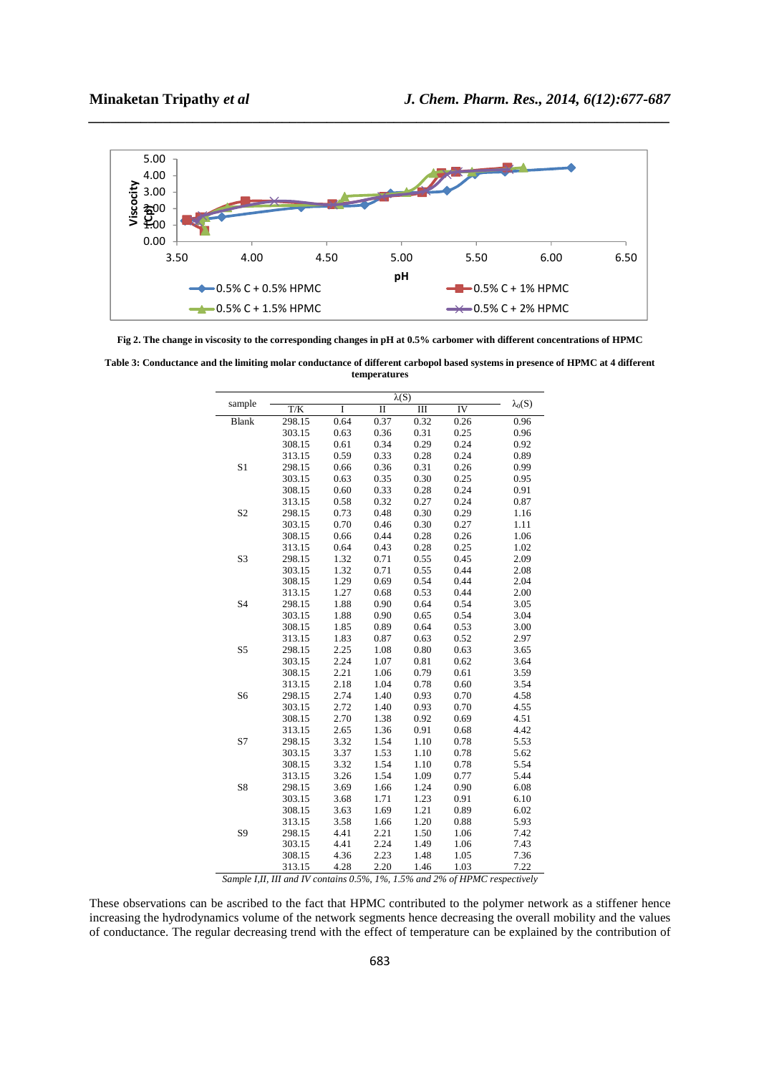

*\_\_\_\_\_\_\_\_\_\_\_\_\_\_\_\_\_\_\_\_\_\_\_\_\_\_\_\_\_\_\_\_\_\_\_\_\_\_\_\_\_\_\_\_\_\_\_\_\_\_\_\_\_\_\_\_\_\_\_\_\_\_\_\_\_\_\_\_\_\_\_\_\_\_\_\_\_\_*

**Fig 2. The change in viscosity to the corresponding changes in pH at 0.5% carbomer with different concentrations of HPMC** 

**Table 3: Conductance and the limiting molar conductance of different carbopol based systems in presence of HPMC at 4 different temperatures** 

|                |        |      | $\lambda(S)$ |      |      |                |
|----------------|--------|------|--------------|------|------|----------------|
| sample         | T/K    | I    | $\mathbf{I}$ | III  | IV   | $\lambda_0(S)$ |
| <b>Blank</b>   | 298.15 | 0.64 | 0.37         | 0.32 | 0.26 | 0.96           |
|                | 303.15 | 0.63 | 0.36         | 0.31 | 0.25 | 0.96           |
|                | 308.15 | 0.61 | 0.34         | 0.29 | 0.24 | 0.92           |
|                | 313.15 | 0.59 | 0.33         | 0.28 | 0.24 | 0.89           |
| S1             | 298.15 | 0.66 | 0.36         | 0.31 | 0.26 | 0.99           |
|                | 303.15 | 0.63 | 0.35         | 0.30 | 0.25 | 0.95           |
|                | 308.15 | 0.60 | 0.33         | 0.28 | 0.24 | 0.91           |
|                | 313.15 | 0.58 | 0.32         | 0.27 | 0.24 | 0.87           |
| S <sub>2</sub> | 298.15 | 0.73 | 0.48         | 0.30 | 0.29 | 1.16           |
|                | 303.15 | 0.70 | 0.46         | 0.30 | 0.27 | 1.11           |
|                | 308.15 | 0.66 | 0.44         | 0.28 | 0.26 | 1.06           |
|                | 313.15 | 0.64 | 0.43         | 0.28 | 0.25 | 1.02           |
| S3             | 298.15 | 1.32 | 0.71         | 0.55 | 0.45 | 2.09           |
|                | 303.15 | 1.32 | 0.71         | 0.55 | 0.44 | 2.08           |
|                | 308.15 | 1.29 | 0.69         | 0.54 | 0.44 | 2.04           |
|                | 313.15 | 1.27 | 0.68         | 0.53 | 0.44 | 2.00           |
| <b>S4</b>      | 298.15 | 1.88 | 0.90         | 0.64 | 0.54 | 3.05           |
|                | 303.15 | 1.88 | 0.90         | 0.65 | 0.54 | 3.04           |
|                | 308.15 | 1.85 | 0.89         | 0.64 | 0.53 | 3.00           |
|                | 313.15 | 1.83 | 0.87         | 0.63 | 0.52 | 2.97           |
| S <sub>5</sub> | 298.15 | 2.25 | 1.08         | 0.80 | 0.63 | 3.65           |
|                | 303.15 | 2.24 | 1.07         | 0.81 | 0.62 | 3.64           |
|                | 308.15 | 2.21 | 1.06         | 0.79 | 0.61 | 3.59           |
|                | 313.15 | 2.18 | 1.04         | 0.78 | 0.60 | 3.54           |
| S <sub>6</sub> | 298.15 | 2.74 | 1.40         | 0.93 | 0.70 | 4.58           |
|                | 303.15 | 2.72 | 1.40         | 0.93 | 0.70 | 4.55           |
|                | 308.15 | 2.70 | 1.38         | 0.92 | 0.69 | 4.51           |
|                | 313.15 | 2.65 | 1.36         | 0.91 | 0.68 | 4.42           |
| S7             | 298.15 | 3.32 | 1.54         | 1.10 | 0.78 | 5.53           |
|                | 303.15 | 3.37 | 1.53         | 1.10 | 0.78 | 5.62           |
|                | 308.15 | 3.32 | 1.54         | 1.10 | 0.78 | 5.54           |
|                | 313.15 | 3.26 | 1.54         | 1.09 | 0.77 | 5.44           |
| S8             | 298.15 | 3.69 | 1.66         | 1.24 | 0.90 | 6.08           |
|                | 303.15 | 3.68 | 1.71         | 1.23 | 0.91 | 6.10           |
|                | 308.15 | 3.63 | 1.69         | 1.21 | 0.89 | 6.02           |
|                | 313.15 | 3.58 | 1.66         | 1.20 | 0.88 | 5.93           |
| S <sub>9</sub> | 298.15 | 4.41 | 2.21         | 1.50 | 1.06 | 7.42           |
|                | 303.15 | 4.41 | 2.24         | 1.49 | 1.06 | 7.43           |
|                | 308.15 | 4.36 | 2.23         | 1.48 | 1.05 | 7.36           |
|                | 313.15 | 4.28 | 2.20         | 1.46 | 1.03 | 7.22           |

*Sample I,II, III and IV contains 0.5%, 1%, 1.5% and 2% of HPMC respectively* 

These observations can be ascribed to the fact that HPMC contributed to the polymer network as a stiffener hence increasing the hydrodynamics volume of the network segments hence decreasing the overall mobility and the values of conductance. The regular decreasing trend with the effect of temperature can be explained by the contribution of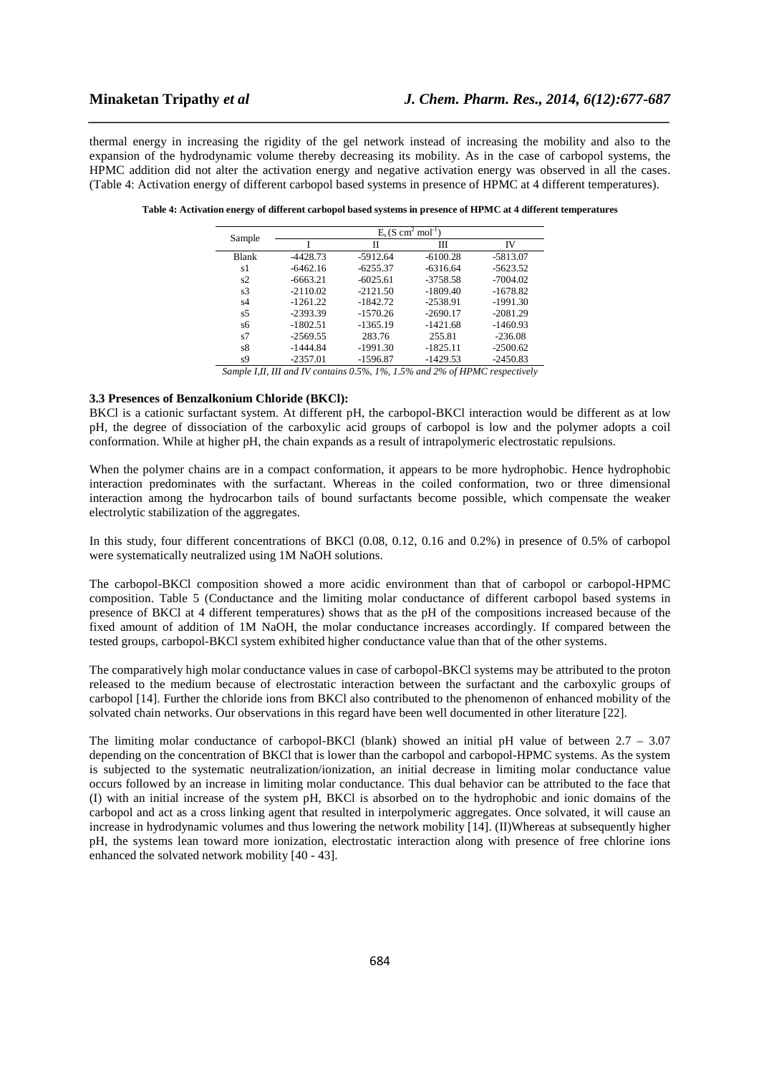thermal energy in increasing the rigidity of the gel network instead of increasing the mobility and also to the expansion of the hydrodynamic volume thereby decreasing its mobility. As in the case of carbopol systems, the HPMC addition did not alter the activation energy and negative activation energy was observed in all the cases. (Table 4: Activation energy of different carbopol based systems in presence of HPMC at 4 different temperatures).

*\_\_\_\_\_\_\_\_\_\_\_\_\_\_\_\_\_\_\_\_\_\_\_\_\_\_\_\_\_\_\_\_\_\_\_\_\_\_\_\_\_\_\_\_\_\_\_\_\_\_\_\_\_\_\_\_\_\_\_\_\_\_\_\_\_\_\_\_\_\_\_\_\_\_\_\_\_\_*

|                | $E_s$ (S cm <sup>2</sup> mol <sup>-1</sup> ) |            |            |            |  |  |  |
|----------------|----------------------------------------------|------------|------------|------------|--|--|--|
| Sample         |                                              | П          | Ш          | IV         |  |  |  |
| <b>Blank</b>   | $-4428.73$                                   | $-5912.64$ | $-6100.28$ | $-5813.07$ |  |  |  |
| s1             | $-6462.16$                                   | $-6255.37$ | $-6316.64$ | $-5623.52$ |  |  |  |
| s2             | $-6663.21$                                   | $-6025.61$ | $-3758.58$ | $-7004.02$ |  |  |  |
| s3             | $-2110.02$                                   | $-2121.50$ | $-1809.40$ | $-1678.82$ |  |  |  |
| s4             | $-1261.22$                                   | $-1842.72$ | $-2538.91$ | $-1991.30$ |  |  |  |
| s <sub>5</sub> | $-2393.39$                                   | $-1570.26$ | $-2690.17$ | $-2081.29$ |  |  |  |
| s6             | $-1802.51$                                   | $-1365.19$ | $-1421.68$ | $-1460.93$ |  |  |  |
| s7             | $-2569.55$                                   | 283.76     | 255.81     | $-236.08$  |  |  |  |
| s8             | $-1444.84$                                   | $-1991.30$ | $-1825.11$ | $-2500.62$ |  |  |  |
| s9             | $-2357.01$                                   | $-1596.87$ | $-1429.53$ | $-2450.83$ |  |  |  |

**Table 4: Activation energy of different carbopol based systems in presence of HPMC at 4 different temperatures** 

*Sample I,II, III and IV contains 0.5%, 1%, 1.5% and 2% of HPMC respectively* 

# **3.3 Presences of Benzalkonium Chloride (BKCl):**

BKCl is a cationic surfactant system. At different pH, the carbopol-BKCl interaction would be different as at low pH, the degree of dissociation of the carboxylic acid groups of carbopol is low and the polymer adopts a coil conformation. While at higher pH, the chain expands as a result of intrapolymeric electrostatic repulsions.

When the polymer chains are in a compact conformation, it appears to be more hydrophobic. Hence hydrophobic interaction predominates with the surfactant. Whereas in the coiled conformation, two or three dimensional interaction among the hydrocarbon tails of bound surfactants become possible, which compensate the weaker electrolytic stabilization of the aggregates.

In this study, four different concentrations of BKCl (0.08, 0.12, 0.16 and 0.2%) in presence of 0.5% of carbopol were systematically neutralized using 1M NaOH solutions.

The carbopol-BKCl composition showed a more acidic environment than that of carbopol or carbopol-HPMC composition. Table 5 (Conductance and the limiting molar conductance of different carbopol based systems in presence of BKCl at 4 different temperatures) shows that as the pH of the compositions increased because of the fixed amount of addition of 1M NaOH, the molar conductance increases accordingly. If compared between the tested groups, carbopol-BKCl system exhibited higher conductance value than that of the other systems.

The comparatively high molar conductance values in case of carbopol-BKCl systems may be attributed to the proton released to the medium because of electrostatic interaction between the surfactant and the carboxylic groups of carbopol [14]. Further the chloride ions from BKCl also contributed to the phenomenon of enhanced mobility of the solvated chain networks. Our observations in this regard have been well documented in other literature [22].

The limiting molar conductance of carbopol-BKCl (blank) showed an initial pH value of between  $2.7 - 3.07$ depending on the concentration of BKCl that is lower than the carbopol and carbopol-HPMC systems. As the system is subjected to the systematic neutralization/ionization, an initial decrease in limiting molar conductance value occurs followed by an increase in limiting molar conductance. This dual behavior can be attributed to the face that (I) with an initial increase of the system pH, BKCl is absorbed on to the hydrophobic and ionic domains of the carbopol and act as a cross linking agent that resulted in interpolymeric aggregates. Once solvated, it will cause an increase in hydrodynamic volumes and thus lowering the network mobility [14]. (II)Whereas at subsequently higher pH, the systems lean toward more ionization, electrostatic interaction along with presence of free chlorine ions enhanced the solvated network mobility [40 - 43].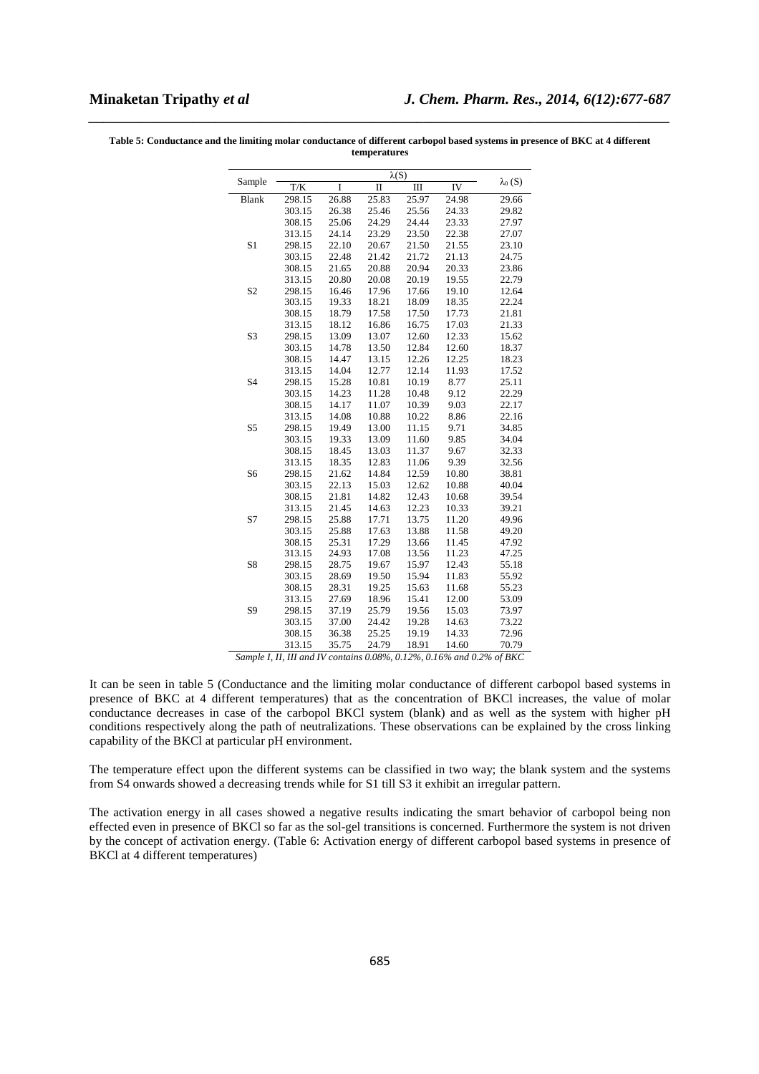|                | $\lambda(S)$ |       |             |       |       |                |
|----------------|--------------|-------|-------------|-------|-------|----------------|
| Sample         | T/K          | I     | $\mathbf I$ | Ш     | IV    | $\lambda_0(S)$ |
| <b>Blank</b>   | 298.15       | 26.88 | 25.83       | 25.97 | 24.98 | 29.66          |
|                | 303.15       | 26.38 | 25.46       | 25.56 | 24.33 | 29.82          |
|                | 308.15       | 25.06 | 24.29       | 24.44 | 23.33 | 27.97          |
|                | 313.15       | 24.14 | 23.29       | 23.50 | 22.38 | 27.07          |
| S1             | 298.15       | 22.10 | 20.67       | 21.50 | 21.55 | 23.10          |
|                | 303.15       | 22.48 | 21.42       | 21.72 | 21.13 | 24.75          |
|                | 308.15       | 21.65 | 20.88       | 20.94 | 20.33 | 23.86          |
|                | 313.15       | 20.80 | 20.08       | 20.19 | 19.55 | 22.79          |
| S <sub>2</sub> | 298.15       | 16.46 | 17.96       | 17.66 | 19.10 | 12.64          |
|                | 303.15       | 19.33 | 18.21       | 18.09 | 18.35 | 22.24          |
|                | 308.15       | 18.79 | 17.58       | 17.50 | 17.73 | 21.81          |
|                | 313.15       | 18.12 | 16.86       | 16.75 | 17.03 | 21.33          |
| S <sub>3</sub> | 298.15       | 13.09 | 13.07       | 12.60 | 12.33 | 15.62          |
|                | 303.15       | 14.78 | 13.50       | 12.84 | 12.60 | 18.37          |
|                | 308.15       | 14.47 | 13.15       | 12.26 | 12.25 | 18.23          |
|                | 313.15       | 14.04 | 12.77       | 12.14 | 11.93 | 17.52          |
| S <sub>4</sub> | 298.15       | 15.28 | 10.81       | 10.19 | 8.77  | 25.11          |
|                | 303.15       | 14.23 | 11.28       | 10.48 | 9.12  | 22.29          |
|                | 308.15       | 14.17 | 11.07       | 10.39 | 9.03  | 22.17          |
|                | 313.15       | 14.08 | 10.88       | 10.22 | 8.86  | 22.16          |
| S <sub>5</sub> | 298.15       | 19.49 | 13.00       | 11.15 | 9.71  | 34.85          |
|                | 303.15       | 19.33 | 13.09       | 11.60 | 9.85  | 34.04          |
|                | 308.15       | 18.45 | 13.03       | 11.37 | 9.67  | 32.33          |
|                | 313.15       | 18.35 | 12.83       | 11.06 | 9.39  | 32.56          |
| S <sub>6</sub> | 298.15       | 21.62 | 14.84       | 12.59 | 10.80 | 38.81          |
|                | 303.15       | 22.13 | 15.03       | 12.62 | 10.88 | 40.04          |
|                | 308.15       | 21.81 | 14.82       | 12.43 | 10.68 | 39.54          |
|                | 313.15       | 21.45 | 14.63       | 12.23 | 10.33 | 39.21          |
| S7             | 298.15       | 25.88 | 17.71       | 13.75 | 11.20 | 49.96          |
|                | 303.15       | 25.88 | 17.63       | 13.88 | 11.58 | 49.20          |
|                | 308.15       | 25.31 | 17.29       | 13.66 | 11.45 | 47.92          |
|                | 313.15       | 24.93 | 17.08       | 13.56 | 11.23 | 47.25          |
| S8             | 298.15       | 28.75 | 19.67       | 15.97 | 12.43 | 55.18          |
|                | 303.15       | 28.69 | 19.50       | 15.94 | 11.83 | 55.92          |
|                | 308.15       | 28.31 | 19.25       | 15.63 | 11.68 | 55.23          |
|                | 313.15       | 27.69 | 18.96       | 15.41 | 12.00 | 53.09          |
| S <sub>9</sub> | 298.15       | 37.19 | 25.79       | 19.56 | 15.03 | 73.97          |
|                | 303.15       | 37.00 | 24.42       | 19.28 | 14.63 | 73.22          |
|                | 308.15       | 36.38 | 25.25       | 19.19 | 14.33 | 72.96          |
|                | 313.15       | 35.75 | 24.79       | 18.91 | 14.60 | 70.79          |

**Table 5: Conductance and the limiting molar conductance of different carbopol based systems in presence of BKC at 4 different temperatures** 

*\_\_\_\_\_\_\_\_\_\_\_\_\_\_\_\_\_\_\_\_\_\_\_\_\_\_\_\_\_\_\_\_\_\_\_\_\_\_\_\_\_\_\_\_\_\_\_\_\_\_\_\_\_\_\_\_\_\_\_\_\_\_\_\_\_\_\_\_\_\_\_\_\_\_\_\_\_\_*

*Sample I, II, III and IV contains 0.08%, 0.12%, 0.16% and 0.2% of BKC* 

It can be seen in table 5 (Conductance and the limiting molar conductance of different carbopol based systems in presence of BKC at 4 different temperatures) that as the concentration of BKCl increases, the value of molar conductance decreases in case of the carbopol BKCl system (blank) and as well as the system with higher pH conditions respectively along the path of neutralizations. These observations can be explained by the cross linking capability of the BKCl at particular pH environment.

The temperature effect upon the different systems can be classified in two way; the blank system and the systems from S4 onwards showed a decreasing trends while for S1 till S3 it exhibit an irregular pattern.

The activation energy in all cases showed a negative results indicating the smart behavior of carbopol being non effected even in presence of BKCl so far as the sol-gel transitions is concerned. Furthermore the system is not driven by the concept of activation energy. (Table 6: Activation energy of different carbopol based systems in presence of BKCl at 4 different temperatures)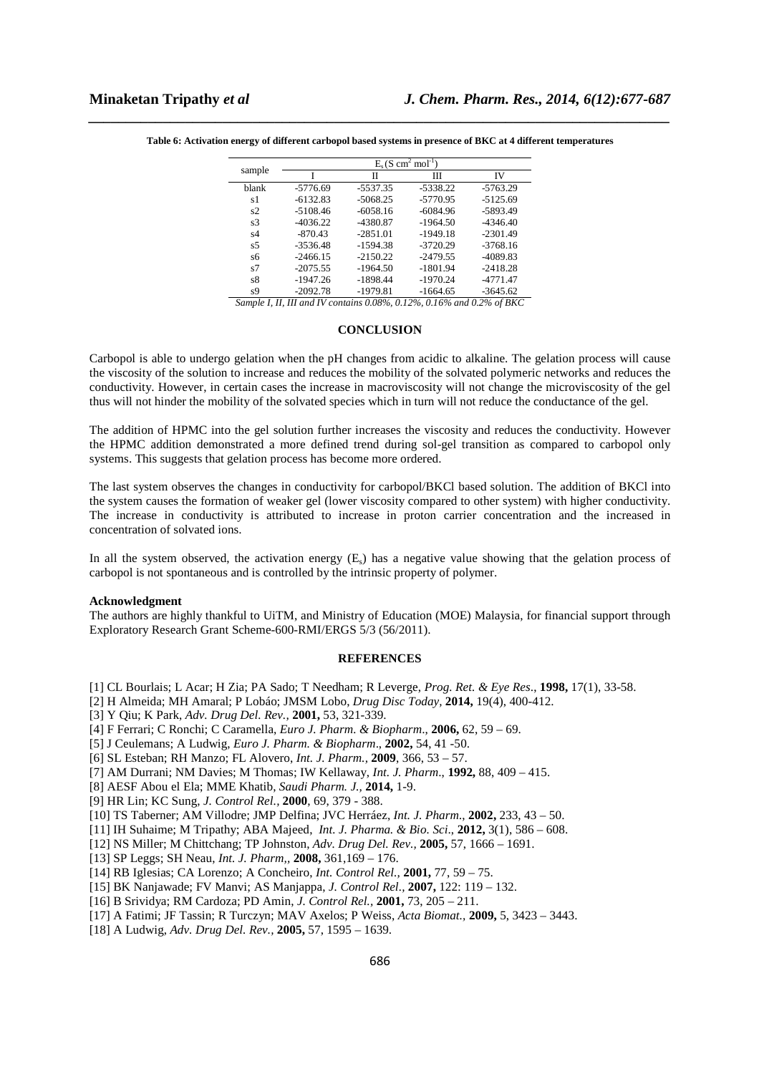| sample | $E_s$ (S cm <sup>2</sup> mol <sup>-1</sup> ) |            |            |            |  |  |  |  |
|--------|----------------------------------------------|------------|------------|------------|--|--|--|--|
|        |                                              | Н          | Ш          | IV         |  |  |  |  |
| blank  | $-5776.69$                                   | $-5537.35$ | $-5338.22$ | $-5763.29$ |  |  |  |  |
| s1     | $-6132.83$                                   | $-5068.25$ | $-5770.95$ | $-5125.69$ |  |  |  |  |
| s2     | -5108.46                                     | $-6058.16$ | $-6084.96$ | -5893.49   |  |  |  |  |
| s3     | $-4036.22$                                   | -4380.87   | $-1964.50$ | $-4346.40$ |  |  |  |  |
| s4     | $-870.43$                                    | $-2851.01$ | $-1949.18$ | $-2301.49$ |  |  |  |  |
| s5     | $-3536.48$                                   | $-1594.38$ | $-3720.29$ | $-3768.16$ |  |  |  |  |
| s6     | $-2466.15$                                   | $-2150.22$ | $-2479.55$ | -4089.83   |  |  |  |  |
| s7     | $-2075.55$                                   | $-1964.50$ | $-1801.94$ | $-2418.28$ |  |  |  |  |
| s8     | $-1947.26$                                   | $-1898.44$ | $-1970.24$ | $-4771.47$ |  |  |  |  |
| s9     | $-2092.78$                                   | $-1979.81$ | $-1664.65$ | $-3645.62$ |  |  |  |  |

*\_\_\_\_\_\_\_\_\_\_\_\_\_\_\_\_\_\_\_\_\_\_\_\_\_\_\_\_\_\_\_\_\_\_\_\_\_\_\_\_\_\_\_\_\_\_\_\_\_\_\_\_\_\_\_\_\_\_\_\_\_\_\_\_\_\_\_\_\_\_\_\_\_\_\_\_\_\_* **Table 6: Activation energy of different carbopol based systems in presence of BKC at 4 different temperatures** 

*Sample I, II, III and IV contains 0.08%, 0.12%, 0.16% and 0.2% of BKC* 

# **CONCLUSION**

Carbopol is able to undergo gelation when the pH changes from acidic to alkaline. The gelation process will cause the viscosity of the solution to increase and reduces the mobility of the solvated polymeric networks and reduces the conductivity. However, in certain cases the increase in macroviscosity will not change the microviscosity of the gel thus will not hinder the mobility of the solvated species which in turn will not reduce the conductance of the gel.

The addition of HPMC into the gel solution further increases the viscosity and reduces the conductivity. However the HPMC addition demonstrated a more defined trend during sol-gel transition as compared to carbopol only systems. This suggests that gelation process has become more ordered.

The last system observes the changes in conductivity for carbopol/BKCl based solution. The addition of BKCl into the system causes the formation of weaker gel (lower viscosity compared to other system) with higher conductivity. The increase in conductivity is attributed to increase in proton carrier concentration and the increased in concentration of solvated ions.

In all the system observed, the activation energy  $(E<sub>s</sub>)$  has a negative value showing that the gelation process of carbopol is not spontaneous and is controlled by the intrinsic property of polymer.

### **Acknowledgment**

The authors are highly thankful to UiTM, and Ministry of Education (MOE) Malaysia, for financial support through Exploratory Research Grant Scheme-600-RMI/ERGS 5/3 (56/2011).

## **REFERENCES**

- [1] CL Bourlais; L Acar; H Zia; PA Sado; T Needham; R Leverge, *Prog. Ret. & Eye Res*., **1998,** 17(1), 33-58.
- [2] H Almeida; MH Amaral; P Lobáo; JMSM Lobo, *Drug Disc Today,* **2014,** 19(4), 400-412.
- [3] Y Qiu; K Park, *Adv. Drug Del. Rev.,* **2001,** 53, 321-339.
- [4] F Ferrari; C Ronchi; C Caramella, *Euro J. Pharm. & Biopharm*., **2006,** 62, 59 69.
- [5] J Ceulemans; A Ludwig, *Euro J. Pharm. & Biopharm*., **2002,** 54, 41 -50.
- [6] SL Esteban; RH Manzo; FL Alovero, *Int. J. Pharm.,* **2009**, 366, 53 57.
- [7] AM Durrani; NM Davies; M Thomas; IW Kellaway, *Int. J. Pharm*., **1992,** 88, 409 415.
- [8] AESF Abou el Ela; MME Khatib, *Saudi Pharm. J.,* **2014,** 1-9.
- [9] HR Lin; KC Sung, *J. Control Rel.,* **2000**, 69, 379 388.
- [10] TS Taberner; AM Villodre; JMP Delfina; JVC Herráez, *Int. J. Pharm.*, **2002,** 233, 43 50.
- [11] IH Suhaime; M Tripathy; ABA Majeed, *Int. J. Pharma. & Bio. Sci*., **2012,** 3(1), 586 608.
- [12] NS Miller; M Chittchang; TP Johnston, *Adv. Drug Del. Rev.,* **2005,** 57, 1666 1691.
- [13] SP Leggs; SH Neau, *Int. J. Pharm,,* **2008,** 361,169 176.
- [14] RB Iglesias; CA Lorenzo; A Concheiro, *Int. Control Rel.,* **2001,** 77, 59 75.
- [15] BK Nanjawade; FV Manvi; AS Manjappa, *J. Control Rel.,* **2007,** 122: 119 132.
- [16] B Srividya; RM Cardoza; PD Amin, *J. Control Rel.,* **2001,** 73, 205 211.
- [17] A Fatimi; JF Tassin; R Turczyn; MAV Axelos; P Weiss, *Acta Biomat.,* **2009,** 5, 3423 3443.
- [18] A Ludwig, *Adv. Drug Del. Rev.,* **2005,** 57, 1595 1639.